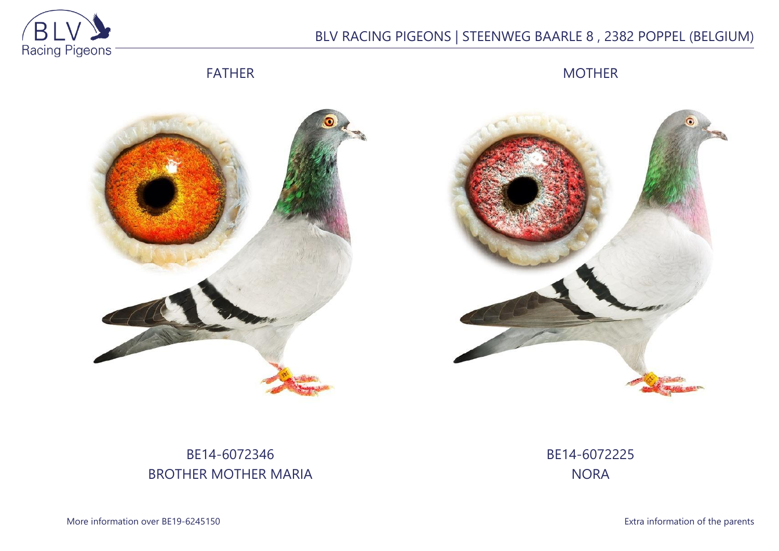

# BLV RACING PIGEONS | STEENWEG BAARLE 8 , 2382 POPPEL (BELGIUM)

FATHER

MOTHER





# BE14-6072346 BROTHER MOTHER MARIA

BE14-6072225 **NORA** 

More information over BE19-6245150 **Extra information of the parents**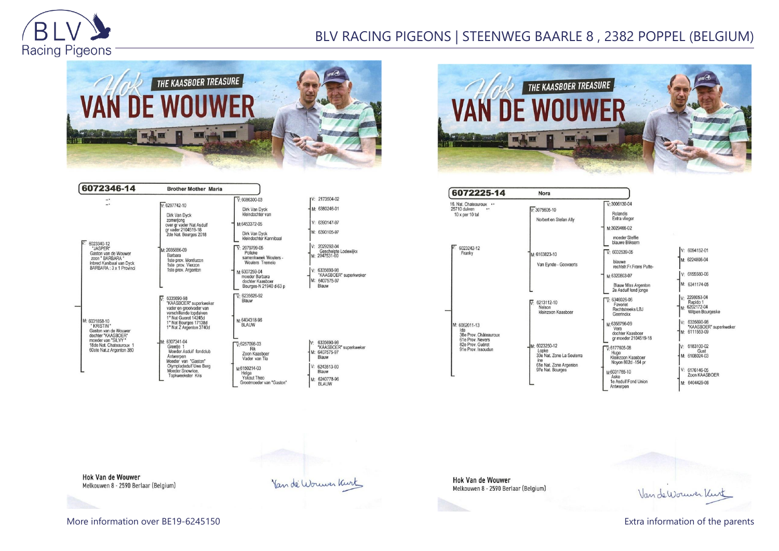

# BLV RACING PIGEONS | STEENWEG BAARLE 8 , 2382 POPPEL (BELGIUM)



| 6072346-14                                                                                                                                               | <b>Brother Mother Maria</b>                                                                                                    |                                                                                      |                                                                       |
|----------------------------------------------------------------------------------------------------------------------------------------------------------|--------------------------------------------------------------------------------------------------------------------------------|--------------------------------------------------------------------------------------|-----------------------------------------------------------------------|
| 6023340-12<br>"JASPER"<br>Gaston van de Wouwer<br>zoon " BARBARA "<br>inbred Kanibaal van Dyck<br>BARBARA: 3 x 1 Provinci                                | $V·6297742-10$<br>Dirk Van Dvck<br>zomerjong<br>over gr vader Nat Asduif                                                       | $V: 6086300 - 03$<br>Dirk Van Dyck<br>kleindochter van<br>M:6453372-05               | V: 2173504-02<br>M: 6380246-01<br>$V: 6390147-97$                     |
|                                                                                                                                                          | gr vader 2104519-18<br>2de Nat. Bourges 2018<br>M: 2035886-09                                                                  | Dirk Van Dyck<br>kleindochter Kannibaal<br>$V \cdot 2079799 - 05$                    | M: 6390105-97<br>V: 2029292-04<br>Geschelpte Lodewijkx                |
|                                                                                                                                                          | Barbara<br>1ste prov. Montlucon<br>1ste prov. Vierzon<br>1ste prov. Argenton                                                   | Polleke<br>samenkweek Wouters -<br>Wouters Tremelo<br>M:6307259-04<br>moeder Barbara | M: 2047531-00<br>$V: 6335690-98$<br>"KAASBOER" superkweker            |
|                                                                                                                                                          | 6335690-98<br>"KAASBOER" superkweker                                                                                           | dochter Kaasboer<br>Bourges-N 21940 d-63 p<br>$\overline{V}$ 6235626-92<br>Blauw     | M: 6407575-97<br>Blauw                                                |
| M: 6031858-10<br>* KRISTIN *<br>Gaston van de Wouwer<br>dochter "KAASBOER"<br>moeder van "SILVY "<br>18de Nat. Chateauroux 1<br>60ste Nat.z Argenton 380 | vader en grootvader van<br>verschillende topduiven<br>1° Nat Gueret 14245d<br>1° Nat Bourges 17138d<br>1° Nat Z Argenton 3740d | м-6404318-96<br><b>BLAUW</b>                                                         |                                                                       |
|                                                                                                                                                          | M: 6307341-04<br>Greetie 1<br>Moeder Asduif fondclub<br>Antwerpen<br>Moeder van "Gaston"                                       | $\sqrt{6257098-03}$<br>Rik<br>Zoon Kaasboer<br>Vader van Tia                         | 6335690-98<br>IV:<br>"KAASBOER" superkweker<br>M: 6407575-97<br>Blauw |
|                                                                                                                                                          | Olympiadeduif Uwe Berg<br>Moeder Snowrice,<br>Topkweekster Kris                                                                | M6150214-03<br>Helga<br>Yskout Theo<br>Grootmoeder van "Gaston"                      | $V: 6243513-00$<br>Blauw<br>M: 6240778-96<br><b>BLAUW</b>             |



| 6072225-14                                                                                                  | Nora                                                                                                     |                                                                                                                                                                    |                                                                                                                                             |
|-------------------------------------------------------------------------------------------------------------|----------------------------------------------------------------------------------------------------------|--------------------------------------------------------------------------------------------------------------------------------------------------------------------|---------------------------------------------------------------------------------------------------------------------------------------------|
| 16. Nat. Chateauroux<br>25710 duiven<br><br>$10 \times$ per $10$ tal                                        | $V: 3075605 - 10$<br>Norbert en Stefan Ally                                                              | $V: 3006130 - 04$<br>Rolandis<br>Extra vlieger<br>M:3029466-02                                                                                                     |                                                                                                                                             |
| 6023242-12<br>Franky                                                                                        | M: 6163823-10<br>Van Eynde - Goovaerts                                                                   | moeder Steffie<br>blauwe Bliksem<br>$V: 6032539-05$<br>blauwe<br>rechtstr.Fr.Frans Putte-<br>M:6320803-07                                                          | V: 6094152-01<br>M: 6224806-04<br>$V: 6155580-06$                                                                                           |
| M: 6062011-13<br>Ida<br>38e Prov. Châteauroux<br>61e Prov. Nevers<br>82e Prov. Guéret<br>91e Prov. Issoudun | 6213112-10<br>V.<br>Nelson<br>kleinzoon Kaasboer                                                         | <b>Blauw Miss Argenton</b><br>2e Asduif fond jonge<br>$\overline{V}$ : 6346026-06<br>Favoriet<br>Rechtstreeks LBJ<br>Geerinckx                                     | M: 6341174-05<br>v: 2298053-04<br>Rapido 1<br>M: 6202172-04<br>Witpen Bourgeske                                                             |
|                                                                                                             | M: 6023250-12<br>Looke<br>33e Nat. Zone La Souterra<br>ine<br>61e Nat. Zone Argenton<br>97e Nat. Bourges | M:6358796-09<br>Vera<br>dochter Kaasboer<br>ar moeder 2104519-18<br>$\nabla 6177605-08$<br>Hugo<br>Kleinzoon Kaasboer<br>Noyon 802d -154 pr<br>M6031765-10<br>Aske | $V: 6335690-98$<br>"KAASBOER" superkweke<br>M: 6111553-09<br>6183100-02<br>IV÷<br>Gust<br>M: 6108024-03<br>$V: 6176146-05$<br>Zoon KAASBOER |
|                                                                                                             |                                                                                                          | 1e Asduif Fond Union<br>Antwerpen                                                                                                                                  | M: 6404429-06                                                                                                                               |

**Hok Van de Wouwer** Melkouwen 8 - 2590 Berlaar (Belgium)

Hok Van de Wouwer Melkouwen 8 - 2590 Berlaar (Belgium)

Van de Wouwer Kurt

Van de Wouwer Kurt

More information over BE19-6245150 **Extra information of the parents**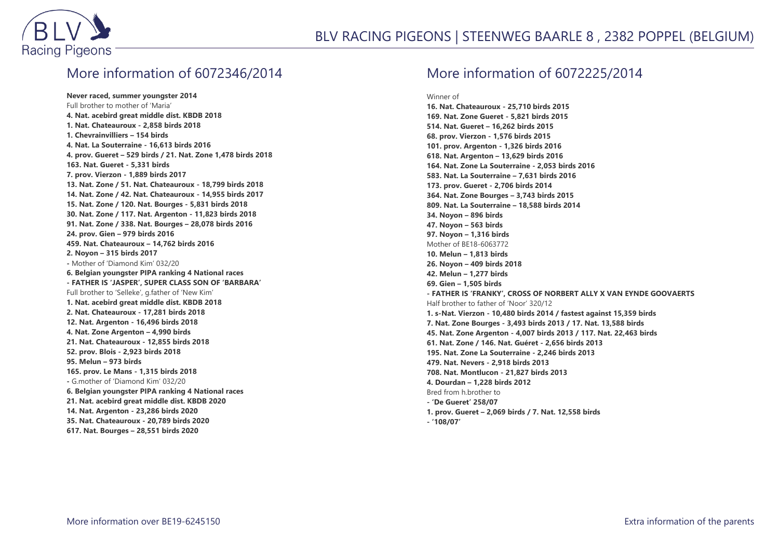

#### More information of 6072346/2014

**Never raced, summer youngster 2014** Full brother to mother of 'Maria' **4. Nat. acebird great middle dist. KBDB 2018 1. Nat. Chateauroux - 2,858 birds 2018 1. Chevrainvilliers – 154 birds 4. Nat. La Souterraine - 16,613 birds 2016 4. prov. Gueret – 529 birds / 21. Nat. Zone 1,478 birds 2018 163. Nat. Gueret - 5,331 birds 7. prov. Vierzon - 1,889 birds 2017 13. Nat. Zone / 51. Nat. Chateauroux - 18,799 birds 2018 14. Nat. Zone / 42. Nat. Chateauroux - 14,955 birds 2017 15. Nat. Zone / 120. Nat. Bourges - 5,831 birds 2018 30. Nat. Zone / 117. Nat. Argenton - 11,823 birds 2018 91. Nat. Zone / 338. Nat. Bourges – 28,078 birds 2016 24. prov. Gien – 979 birds 2016 459. Nat. Chateauroux – 14,762 birds 2016 2. Noyon – 315 birds 2017 -** Mother of 'Diamond Kim' 032/20 **6. Belgian youngster PIPA ranking 4 National races - FATHER IS 'JASPER', SUPER CLASS SON OF 'BARBARA'** Full brother to 'Selleke', g.father of 'New Kim' **1. Nat. acebird great middle dist. KBDB 2018 2. Nat. Chateauroux - 17,281 birds 2018 12. Nat. Argenton - 16,496 birds 2018 4. Nat. Zone Argenton – 4,990 birds 21. Nat. Chateauroux - 12,855 birds 2018 52. prov. Blois - 2,923 birds 2018 95. Melun – 973 birds 165. prov. Le Mans - 1,315 birds 2018 -** G.mother of 'Diamond Kim' 032/20 **6. Belgian youngster PIPA ranking 4 National races 21. Nat. acebird great middle dist. KBDB 2020 14. Nat. Argenton - 23,286 birds 2020 35. Nat. Chateauroux - 20,789 birds 2020 617. Nat. Bourges – 28,551 birds 2020**

#### More information of 6072225/2014

Winner of

**16. Nat. Chateauroux - 25,710 birds 2015 169. Nat. Zone Gueret - 5,821 birds 2015 514. Nat. Gueret – 16,262 birds 2015 68. prov. Vierzon - 1,576 birds 2015 101. prov. Argenton - 1,326 birds 2016 618. Nat. Argenton – 13,629 birds 2016 164. Nat. Zone La Souterraine - 2,053 birds 2016 583. Nat. La Souterraine – 7,631 birds 2016 173. prov. Gueret - 2,706 birds 2014 364. Nat. Zone Bourges – 3,743 birds 2015 809. Nat. La Souterraine – 18,588 birds 2014 34. Noyon – 896 birds 47. Noyon – 563 birds 97. Noyon – 1,316 birds** Mother of BE18-6063772 **10. Melun – 1,813 birds 26. Noyon – 409 birds 2018 42. Melun – 1,277 birds 69. Gien – 1,505 birds - FATHER IS 'FRANKY', CROSS OF NORBERT ALLY X VAN EYNDE GOOVAERTS** Half brother to father of 'Noor' 320/12 **1. s-Nat. Vierzon - 10,480 birds 2014 / fastest against 15,359 birds 7. Nat. Zone Bourges - 3,493 birds 2013 / 17. Nat. 13,588 birds 45. Nat. Zone Argenton - 4,007 birds 2013 / 117. Nat. 22,463 birds 61. Nat. Zone / 146. Nat. Guéret - 2,656 birds 2013 195. Nat. Zone La Souterraine - 2,246 birds 2013 479. Nat. Nevers - 2,918 birds 2013 708. Nat. Montlucon - 21,827 birds 2013 4. Dourdan – 1,228 birds 2012** Bred from h.brother to **- 'De Gueret' 258/07 1. prov. Gueret – 2,069 birds / 7. Nat. 12,558 birds**

**- '108/07'**